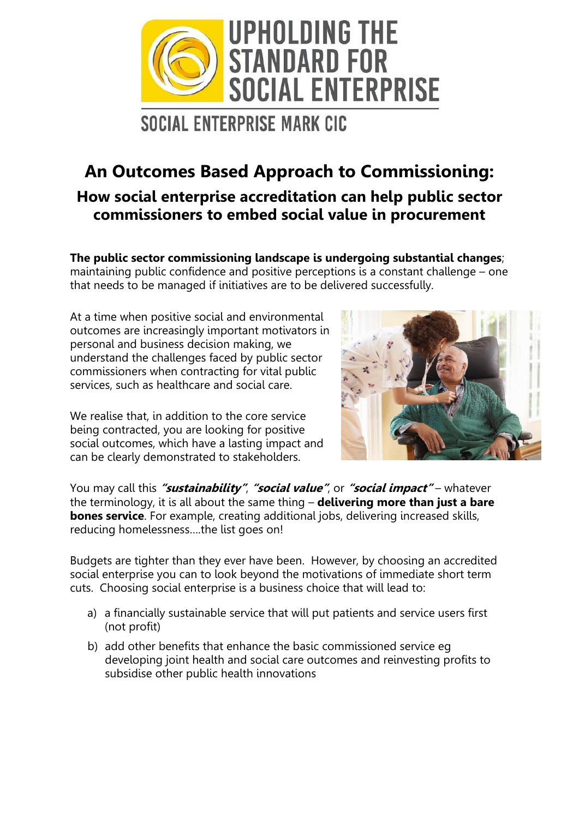

## SOCIAL ENTERPRISE MARK CIC

### **An Outcomes Based Approach to Commissioning: How social enterprise accreditation can help public sector commissioners to embed social value in procurement**

**The public sector commissioning landscape is undergoing substantial changes**; maintaining public confidence and positive perceptions is a constant challenge – one that needs to be managed if initiatives are to be delivered successfully.

At a time when positive social and environmental outcomes are increasingly important motivators in personal and business decision making, we understand the challenges faced by public sector commissioners when contracting for vital public services, such as healthcare and social care.

We realise that, in addition to the core service being contracted, you are looking for positive social outcomes, which have a lasting impact and can be clearly demonstrated to stakeholders.



You may call this **"sustainability"**, **"social value"**, or **"social impact"** – whatever the terminology, it is all about the same thing – **delivering more than just a bare bones service**. For example, creating additional jobs, delivering increased skills, reducing homelessness….the list goes on!

Budgets are tighter than they ever have been. However, by choosing an accredited social enterprise you can to look beyond the motivations of immediate short term cuts. Choosing social enterprise is a business choice that will lead to:

- a) a financially sustainable service that will put patients and service users first (not profit)
- b) add other benefits that enhance the basic commissioned service eg developing joint health and social care outcomes and reinvesting profits to subsidise other public health innovations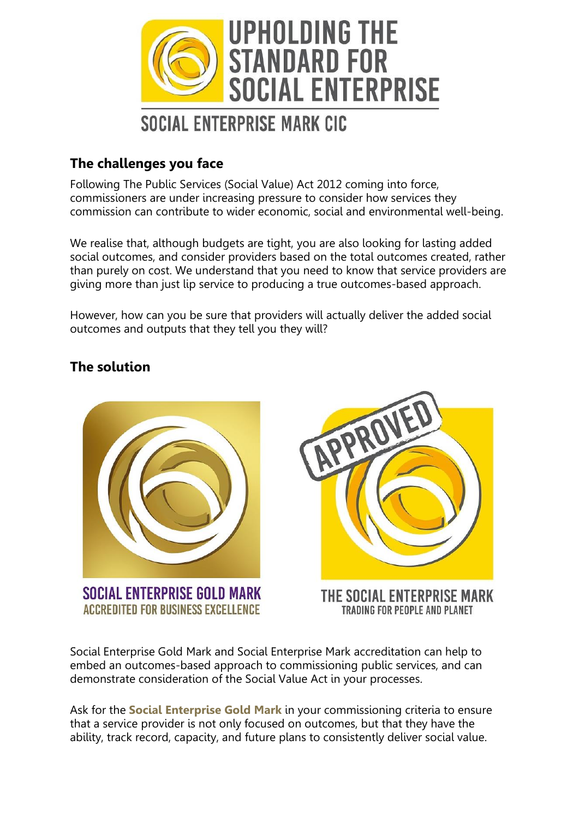

#### **The challenges you face**

Following The Public Services (Social Value) Act 2012 coming into force, commissioners are under increasing pressure to consider how services they commission can contribute to wider economic, social and environmental well-being.

We realise that, although budgets are tight, you are also looking for lasting added social outcomes, and consider providers based on the total outcomes created, rather than purely on cost. We understand that you need to know that service providers are giving more than just lip service to producing a true outcomes-based approach.

However, how can you be sure that providers will actually deliver the added social outcomes and outputs that they tell you they will?

#### **The solution**



SOCIAL ENTERPRISE GOLD MARK **ACCREDITED FOR BUSINESS EXCELLENCE** 



THE SOCIAL ENTERPRISE MARK TRADING FOR PEOPLE AND PLANET

Social Enterprise Gold Mark and Social Enterprise Mark accreditation can help to embed an outcomes-based approach to commissioning public services, and can demonstrate consideration of the Social Value Act in your processes.

Ask for the **Social Enterprise Gold Mark** in your commissioning criteria to ensure that a service provider is not only focused on outcomes, but that they have the ability, track record, capacity, and future plans to consistently deliver social value.